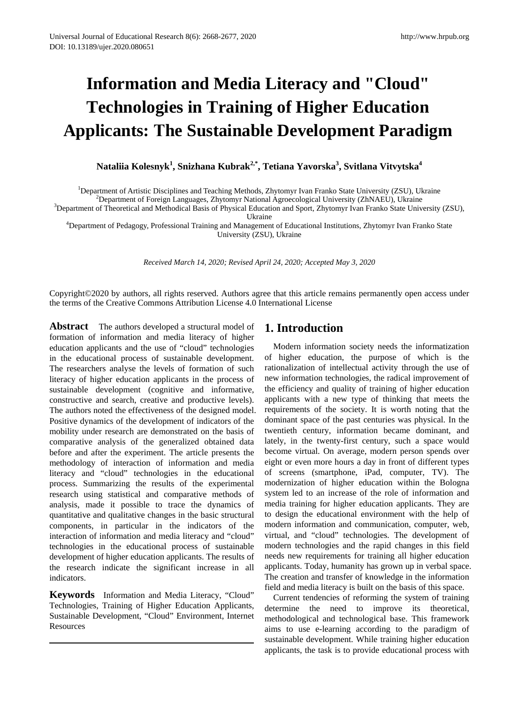# **Information and Media Literacy and "Cloud" Technologies in Training of Higher Education Applicants: The Sustainable Development Paradigm**

**Nataliia Kolesnyk<sup>1</sup> , Snizhana Kubrak2,\*, Tetiana Yavorska3 , Svitlana Vitvytska<sup>4</sup>**

<sup>1</sup>Department of Artistic Disciplines and Teaching Methods, Zhytomyr Ivan Franko State University (ZSU), Ukraine <sup>2</sup>Department of Foreign Languages, Zhytomyr National Agroecological University (ZhNAEU), Ukraine

<sup>2</sup>Department of Foreign Languages, Zhytomyr National Agroecological University (ZhNAEU), Ukraine

<sup>3</sup>Department of Theoretical and Methodical Basis of Physical Education and Sport, Zhytomyr Ivan Franko State University (ZSU),<br>Ukraine

Ukraine 4 Department of Pedagogy, Professional Training and Management of Educational Institutions, Zhytomyr Ivan Franko State University (ZSU), Ukraine

*Received March 14, 2020; Revised April 24, 2020; Accepted May 3, 2020*

Copyright©2020 by authors, all rights reserved. Authors agree that this article remains permanently open access under the terms of the Creative Commons Attribution License 4.0 International License

**Abstract** The authors developed a structural model of formation of information and media literacy of higher education applicants and the use of "cloud" technologies in the educational process of sustainable development. The researchers analyse the levels of formation of such literacy of higher education applicants in the process of sustainable development (cognitive and informative, constructive and search, creative and productive levels). The authors noted the effectiveness of the designed model. Positive dynamics of the development of indicators of the mobility under research are demonstrated on the basis of comparative analysis of the generalized obtained data before and after the experiment. The article presents the methodology of interaction of information and media literacy and "cloud" technologies in the educational process. Summarizing the results of the experimental research using statistical and comparative methods of analysis, made it possible to trace the dynamics of quantitative and qualitative changes in the basic structural components, in particular in the indicators of the interaction of information and media literacy and "cloud" technologies in the educational process of sustainable development of higher education applicants. The results of the research indicate the significant increase in all indicators.

**Keywords** Information and Media Literacy, "Cloud" Technologies, Training of Higher Education Applicants, Sustainable Development, "Cloud" Environment, Internet **Resources** 

# **1. Introduction**

Modern information society needs the informatization of higher education, the purpose of which is the rationalization of intellectual activity through the use of new information technologies, the radical improvement of the efficiency and quality of training of higher education applicants with a new type of thinking that meets the requirements of the society. It is worth noting that the dominant space of the past centuries was physical. In the twentieth century, information became dominant, and lately, in the twenty-first century, such a space would become virtual. On average, modern person spends over eight or even more hours a day in front of different types of screens (smartphone, iPad, computer, TV). The modernization of higher education within the Bologna system led to an increase of the role of information and media training for higher education applicants. They are to design the educational environment with the help of modern information and communication, computer, web, virtual, and "cloud" technologies. The development of modern technologies and the rapid changes in this field needs new requirements for training all higher education applicants. Today, humanity has grown up in verbal space. The creation and transfer of knowledge in the information field and media literacy is built on the basis of this space.

Current tendencies of reforming the system of training determine the need to improve its theoretical, methodological and technological base. This framework aims to use e-learning according to the paradigm of sustainable development. While training higher education applicants, the task is to provide educational process with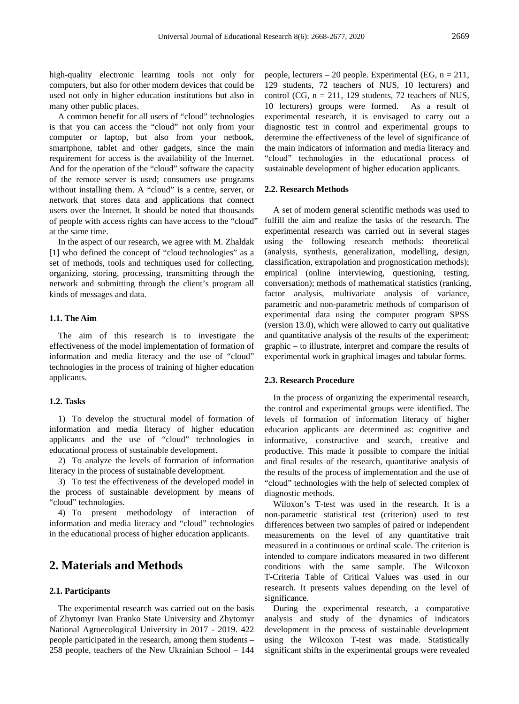high-quality electronic learning tools not only for computers, but also for other modern devices that could be used not only in higher education institutions but also in many other public places.

A common benefit for all users of "cloud" technologies is that you can access the "cloud" not only from your computer or laptop, but also from your netbook, smartphone, tablet and other gadgets, since the main requirement for access is the availability of the Internet. And for the operation of the "cloud" software the capacity of the remote server is used; consumers use programs without installing them. A "cloud" is a centre, server, or network that stores data and applications that connect users over the Internet. It should be noted that thousands of people with access rights can have access to the "cloud" at the same time.

In the aspect of our research, we agree with M. Zhaldak [1] who defined the concept of "cloud technologies" as a set of methods, tools and techniques used for collecting, organizing, storing, processing, transmitting through the network and submitting through the client's program all kinds of messages and data.

#### **1.1. The Aim**

The aim of this research is to investigate the effectiveness of the model implementation of formation of information and media literacy and the use of "cloud" technologies in the process of training of higher education applicants.

#### **1.2. Tasks**

1) To develop the structural model of formation of information and media literacy of higher education applicants and the use of "cloud" technologies in educational process of sustainable development.

2) To analyze the levels of formation of information literacy in the process of sustainable development.

3) To test the effectiveness of the developed model in the process of sustainable development by means of "cloud" technologies.

4) To present methodology of interaction of information and media literacy and "cloud" technologies in the educational process of higher education applicants.

## **2. Materials and Methods**

#### **2.1. Participants**

The experimental research was carried out on the basis of Zhytomyr Ivan Franko State University and Zhytomyr National Agroecological University in 2017 - 2019. 422 people participated in the research, among them students – 258 people, teachers of the New Ukrainian School – 144 people, lecturers – 20 people. Experimental (EG,  $n = 211$ , 129 students, 72 teachers of NUS, 10 lecturers) and control (CG,  $n = 211$ , 129 students, 72 teachers of NUS, 10 lecturers) groups were formed. As a result of experimental research, it is envisaged to carry out a diagnostic test in control and experimental groups to determine the effectiveness of the level of significance of the main indicators of information and media literacy and "cloud" technologies in the educational process of sustainable development of higher education applicants.

#### **2.2. Research Methods**

A set of modern general scientific methods was used to fulfill the aim and realize the tasks of the research. The experimental research was carried out in several stages using the following research methods: theoretical (analysis, synthesis, generalization, modelling, design, classification, extrapolation and prognostication methods); empirical (online interviewing, questioning, testing, conversation); methods of mathematical statistics (ranking, factor analysis, multivariate analysis of variance, parametric and non-parametric methods of comparison of experimental data using the computer program SPSS (version 13.0), which were allowed to carry out qualitative and quantitative analysis of the results of the experiment; graphic – to illustrate, interpret and compare the results of experimental work in graphical images and tabular forms.

#### **2.3. Research Procedure**

In the process of organizing the experimental research, the control and experimental groups were identified. The levels of formation of information literacy of higher education applicants are determined as: cognitive and informative, constructive and search, creative and productive. This made it possible to compare the initial and final results of the research, quantitative analysis of the results of the process of implementation and the use of "cloud" technologies with the help of selected complex of diagnostic methods.

Wiloxon's T-test was used in the research. It is a non-parametric statistical test (criterion) used to test differences between two samples of paired or independent measurements on the level of any quantitative trait measured in a continuous or ordinal scale. The criterion is intended to compare indicators measured in two different conditions with the same sample. The Wilcoxon T-Criteria Table of Critical Values was used in our research. It presents values depending on the level of significance.

During the experimental research, a comparative analysis and study of the dynamics of indicators development in the process of sustainable development using the Wilcoxon T-test was made. Statistically significant shifts in the experimental groups were revealed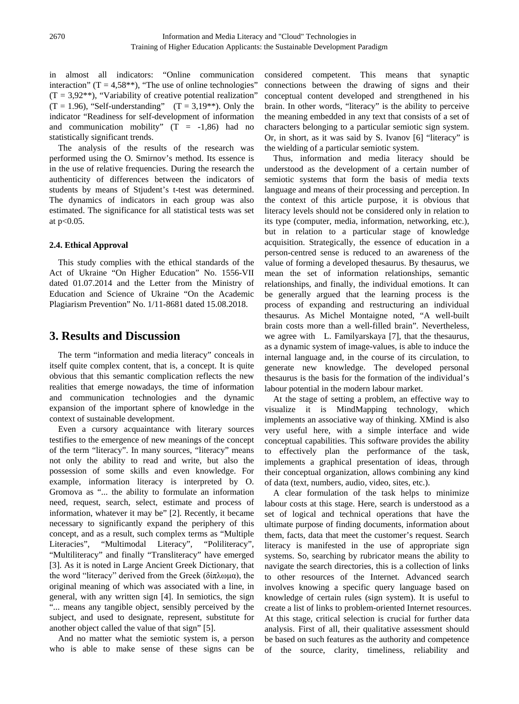in almost all indicators: "Online communication interaction" (T =  $4,58$ \*\*), "The use of online technologies"  $(T = 3.92^{**})$ , "Variability of creative potential realization"  $(T = 1.96)$ , "Self-understanding"  $(T = 3.19**)$ . Only the indicator "Readiness for self-development of information and communication mobility"  $(T = -1,86)$  had no statistically significant trends.

The analysis of the results of the research was performed using the O. Smirnov's method. Its essence is in the use of relative frequencies. During the research the authenticity of differences between the indicators of students by means of Stjudent's t-test was determined. The dynamics of indicators in each group was also estimated. The significance for all statistical tests was set at p<0.05.

#### **2.4. Ethical Approval**

This study complies with the ethical standards of the Act of Ukraine "On Higher Education" No. 1556-VII dated 01.07.2014 and the Letter from the Ministry of Education and Science of Ukraine "On the Academic Plagiarism Prevention" No. 1/11-8681 dated 15.08.2018.

## **3. Results and Discussion**

The term "information and media literacy" conceals in itself quite complex content, that is, a concept. It is quite obvious that this semantic complication reflects the new realities that emerge nowadays, the time of information and communication technologies and the dynamic expansion of the important sphere of knowledge in the context of sustainable development.

Even a cursory acquaintance with literary sources testifies to the emergence of new meanings of the concept of the term "literacy". In many sources, "literacy" means not only the ability to read and write, but also the possession of some skills and even knowledge. For example, information literacy is interpreted by O. Gromova as "... the ability to formulate an information need, request, search, select, estimate and process of information, whatever it may be" [2]. Recently, it became necessary to significantly expand the periphery of this concept, and as a result, such complex terms as "Multiple Literacies", "Multimodal Literacy", "Poliliteracy", "Multiliteracy" and finally "Transliteracy" have emerged [3]. As it is noted in Large Ancient Greek Dictionary, that the word "literacy" derived from the Greek (δίπλωμα), the original meaning of which was associated with a line, in general, with any written sign [4]. In semiotics, the sign "... means any tangible object, sensibly perceived by the subject, and used to designate, represent, substitute for another object called the value of that sign" [5].

And no matter what the semiotic system is, a person who is able to make sense of these signs can be

considered competent. This means that synaptic connections between the drawing of signs and their conceptual content developed and strengthened in his brain. In other words, "literacy" is the ability to perceive the meaning embedded in any text that consists of a set of characters belonging to a particular semiotic sign system. Or, in short, as it was said by S. Ivanov [6] "literacy" is the wielding of a particular semiotic system.

Thus, information and media literacy should be understood as the development of a certain number of semiotic systems that form the basis of media texts language and means of their processing and perception. In the context of this article purpose, it is obvious that literacy levels should not be considered only in relation to its type (computer, media, information, networking, etc.), but in relation to a particular stage of knowledge acquisition. Strategically, the essence of education in a person-centred sense is reduced to an awareness of the value of forming a developed thesaurus. By thesaurus, we mean the set of information relationships, semantic relationships, and finally, the individual emotions. It can be generally argued that the learning process is the process of expanding and restructuring an individual thesaurus. As Michel Montaigne noted, "A well-built brain costs more than a well-filled brain". Nevertheless, we agree with L. Familyarskaya [7], that the thesaurus, as a dynamic system of image-values, is able to induce the internal language and, in the course of its circulation, to generate new knowledge. The developed personal thesaurus is the basis for the formation of the individual's labour potential in the modern labour market.

At the stage of setting a problem, an effective way to visualize it is MindMapping technology, which implements an associative way of thinking. XMind is also very useful here, with a simple interface and wide conceptual capabilities. This software provides the ability to effectively plan the performance of the task, implements a graphical presentation of ideas, through their conceptual organization, allows combining any kind of data (text, numbers, audio, video, sites, etc.).

A clear formulation of the task helps to minimize labour costs at this stage. Here, search is understood as a set of logical and technical operations that have the ultimate purpose of finding documents, information about them, facts, data that meet the customer's request. Search literacy is manifested in the use of appropriate sign systems. So, searching by rubricator means the ability to navigate the search directories, this is a collection of links to other resources of the Internet. Advanced search involves knowing a specific query language based on knowledge of certain rules (sign system). It is useful to create a list of links to problem-oriented Internet resources. At this stage, critical selection is crucial for further data analysis. First of all, their qualitative assessment should be based on such features as the authority and competence of the source, clarity, timeliness, reliability and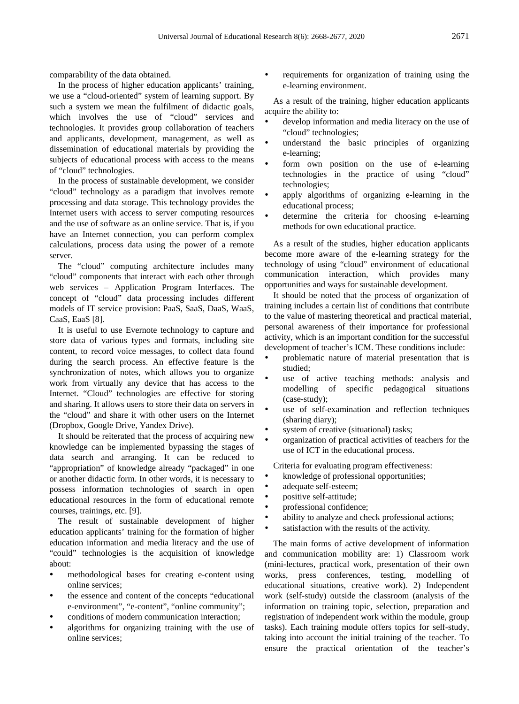comparability of the data obtained.

In the process of higher education applicants' training, we use a "cloud-oriented" system of learning support. By such a system we mean the fulfilment of didactic goals, which involves the use of "cloud" services and technologies. It provides group collaboration of teachers and applicants, development, management, as well as dissemination of educational materials by providing the subjects of educational process with access to the means of "cloud" technologies.

In the process of sustainable development, we consider "cloud" technology as a paradigm that involves remote processing and data storage. This technology provides the Internet users with access to server computing resources and the use of software as an online service. That is, if you have an Internet connection, you can perform complex calculations, process data using the power of a remote server.

The "cloud" computing architecture includes many "cloud" components that interact with each other through web services – Application Program Interfaces. The concept of "cloud" data processing includes different models of IT service provision: PaaS, SaaS, DaaS, WaaS, CaaS, EaaS [8].

It is useful to use Evernote technology to capture and store data of various types and formats, including site content, to record voice messages, to collect data found during the search process. An effective feature is the synchronization of notes, which allows you to organize work from virtually any device that has access to the Internet. "Cloud" technologies are effective for storing and sharing. It allows users to store their data on servers in the "cloud" and share it with other users on the Internet (Dropbox, Google Drive, Yandex Drive).

It should be reiterated that the process of acquiring new knowledge can be implemented bypassing the stages of data search and arranging. It can be reduced to "appropriation" of knowledge already "packaged" in one or another didactic form. In other words, it is necessary to possess information technologies of search in open educational resources in the form of educational remote courses, trainings, etc. [9].

The result of sustainable development of higher education applicants' training for the formation of higher education information and media literacy and the use of "could" technologies is the acquisition of knowledge about:

- methodological bases for creating e-content using online services;
- the essence and content of the concepts "educational e-environment", "e-content", "online community";
- conditions of modern communication interaction;
- algorithms for organizing training with the use of online services;

 requirements for organization of training using the e-learning environment.

As a result of the training, higher education applicants acquire the ability to:

- develop information and media literacy on the use of "cloud" technologies;
- understand the basic principles of organizing e-learning;
- form own position on the use of e-learning technologies in the practice of using "cloud" technologies;
- apply algorithms of organizing e-learning in the educational process;
- determine the criteria for choosing e-learning methods for own educational practice.

As a result of the studies, higher education applicants become more aware of the e-learning strategy for the technology of using "cloud" environment of educational communication interaction, which provides many opportunities and ways for sustainable development.

It should be noted that the process of organization of training includes a certain list of conditions that contribute to the value of mastering theoretical and practical material, personal awareness of their importance for professional activity, which is an important condition for the successful development of teacher's ICM. These conditions include:

- problematic nature of material presentation that is studied;
- use of active teaching methods: analysis and modelling of specific pedagogical situations (case-study);
- use of self-examination and reflection techniques (sharing diary);
- system of creative (situational) tasks;
- organization of practical activities of teachers for the use of ICT in the educational process.

Criteria for evaluating program effectiveness:

- knowledge of professional opportunities;
- adequate self-esteem;
- positive self-attitude;
- professional confidence;
- ability to analyze and check professional actions;
- satisfaction with the results of the activity.

The main forms of active development of information and communication mobility are: 1) Classroom work (mini-lectures, practical work, presentation of their own works, press conferences, testing, modelling of educational situations, creative work). 2) Independent work (self-study) outside the classroom (analysis of the information on training topic, selection, preparation and registration of independent work within the module, group tasks). Each training module offers topics for self-study, taking into account the initial training of the teacher. To ensure the practical orientation of the teacher's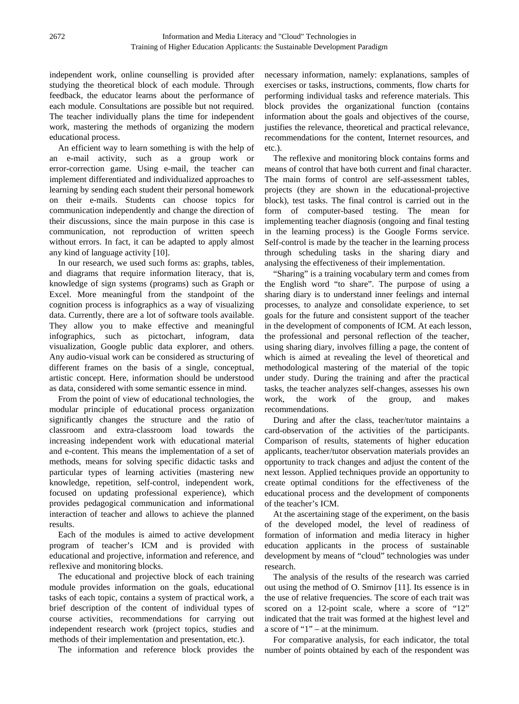independent work, online counselling is provided after studying the theoretical block of each module. Through feedback, the educator learns about the performance of each module. Consultations are possible but not required. The teacher individually plans the time for independent work, mastering the methods of organizing the modern educational process.

An efficient way to learn something is with the help of an e-mail activity, such as a group work or error-correction game. Using e-mail, the teacher can implement differentiated and individualized approaches to learning by sending each student their personal homework on their e-mails. Students can choose topics for communication independently and change the direction of their discussions, since the main purpose in this case is communication, not reproduction of written speech without errors. In fact, it can be adapted to apply almost any kind of language activity [10].

In our research, we used such forms as: graphs, tables, and diagrams that require information literacy, that is, knowledge of sign systems (programs) such as Graph or Excel. More meaningful from the standpoint of the cognition process is infographics as a way of visualizing data. Currently, there are a lot of software tools available. They allow you to make effective and meaningful infographics, such as pictochart, infogram, data visualization, Google public data explorer, and others. Any audio-visual work can be considered as structuring of different frames on the basis of a single, conceptual, artistic concept. Here, information should be understood as data, considered with some semantic essence in mind.

From the point of view of educational technologies, the modular principle of educational process organization significantly changes the structure and the ratio of classroom and extra-classroom load towards the increasing independent work with educational material and e-content. This means the implementation of a set of methods, means for solving specific didactic tasks and particular types of learning activities (mastering new knowledge, repetition, self-control, independent work, focused on updating professional experience), which provides pedagogical communication and informational interaction of teacher and allows to achieve the planned results.

Each of the modules is aimed to active development program of teacher's ICM and is provided with educational and projective, information and reference, and reflexive and monitoring blocks.

The educational and projective block of each training module provides information on the goals, educational tasks of each topic, contains a system of practical work, a brief description of the content of individual types of course activities, recommendations for carrying out independent research work (project topics, studies and methods of their implementation and presentation, etc.).

The information and reference block provides the

necessary information, namely: explanations, samples of exercises or tasks, instructions, comments, flow charts for performing individual tasks and reference materials. This block provides the organizational function (contains information about the goals and objectives of the course, justifies the relevance, theoretical and practical relevance, recommendations for the content, Internet resources, and etc.).

The reflexive and monitoring block contains forms and means of control that have both current and final character. The main forms of control are self-assessment tables, projects (they are shown in the educational-projective block), test tasks. The final control is carried out in the form of computer-based testing. The mean for implementing teacher diagnosis (ongoing and final testing in the learning process) is the Google Forms service. Self-control is made by the teacher in the learning process through scheduling tasks in the sharing diary and analysing the effectiveness of their implementation.

"Sharing" is a training vocabulary term and comes from the English word "to share". The purpose of using a sharing diary is to understand inner feelings and internal processes, to analyze and consolidate experience, to set goals for the future and consistent support of the teacher in the development of components of ICM. At each lesson, the professional and personal reflection of the teacher, using sharing diary, involves filling a page, the content of which is aimed at revealing the level of theoretical and methodological mastering of the material of the topic under study. During the training and after the practical tasks, the teacher analyzes self-changes, assesses his own work, the work of the group, and makes recommendations.

During and after the class, teacher/tutor maintains a card-observation of the activities of the participants. Comparison of results, statements of higher education applicants, teacher/tutor observation materials provides an opportunity to track changes and adjust the content of the next lesson. Applied techniques provide an opportunity to create optimal conditions for the effectiveness of the educational process and the development of components of the teacher's ICM.

At the ascertaining stage of the experiment, on the basis of the developed model, the level of readiness of formation of information and media literacy in higher education applicants in the process of sustainable development by means of "cloud" technologies was under research.

The analysis of the results of the research was carried out using the method of O. Smirnov [11]. Its essence is in the use of relative frequencies. The score of each trait was scored on a 12-point scale, where a score of "12" indicated that the trait was formed at the highest level and a score of "1" – at the minimum.

For comparative analysis, for each indicator, the total number of points obtained by each of the respondent was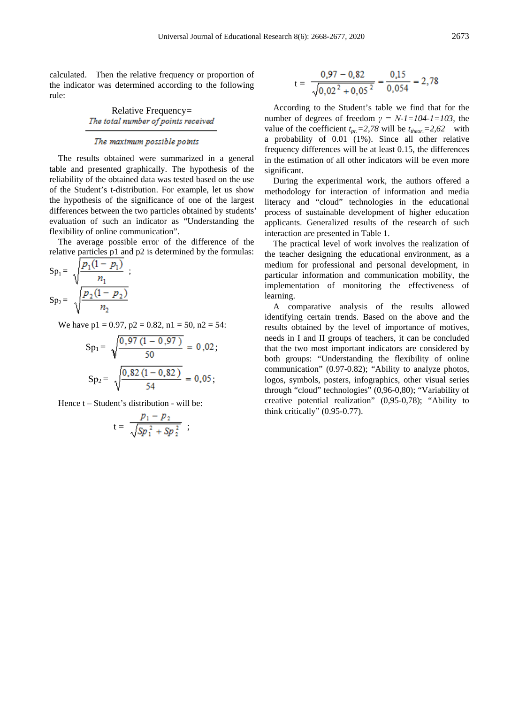calculated. Then the relative frequency or proportion of the indicator was determined according to the following rule:

Relative Frequency=<br>The total number of points received

#### The maximum possible points

The results obtained were summarized in a general table and presented graphically. The hypothesis of the reliability of the obtained data was tested based on the use of the Student's t-distribution. For example, let us show the hypothesis of the significance of one of the largest differences between the two particles obtained by students' evaluation of such an indicator as "Understanding the flexibility of online communication".

The average possible error of the difference of the relative particles p1 and p2 is determined by the formulas:

$$
Sp_1 = \sqrt{\frac{p_1(1-p_1)}{n_1}};
$$
  
\n
$$
Sp_2 = \sqrt{\frac{p_2(1-p_2)}{n_2}};
$$

We have  $p1 = 0.97$ ,  $p2 = 0.82$ ,  $n1 = 50$ ,  $n2 = 54$ :

$$
Sp_1 = \sqrt{\frac{0.97 (1 - 0.97)}{50}} = 0.02;
$$
  
\n
$$
Sp_2 = \sqrt{\frac{0.82 (1 - 0.82)}{54}} = 0.05;
$$

Hence t – Student's distribution - will be:

$$
t = \frac{p_1 - p_2}{\sqrt{Sp_1^2 + Sp_2^2}} \; ;
$$

$$
t = \frac{0.97 - 0.82}{\sqrt{0.02^2 + 0.05^2}} = \frac{0.15}{0.054} = 2.78
$$

According to the Student's table we find that for the number of degrees of freedom  $\gamma = N$ -1=104-1=103, the value of the coefficient  $t_{pr} = 2,78$  will be  $t_{theor} = 2,62$  with a probability of 0.01 (1%). Since all other relative frequency differences will be at least 0.15, the differences in the estimation of all other indicators will be even more significant.

During the experimental work, the authors offered a methodology for interaction of information and media literacy and "cloud" technologies in the educational process of sustainable development of higher education applicants. Generalized results of the research of such interaction are presented in Table 1.

The practical level of work involves the realization of the teacher designing the educational environment, as a medium for professional and personal development, in particular information and communication mobility, the implementation of monitoring the effectiveness of learning.

A comparative analysis of the results allowed identifying certain trends. Based on the above and the results obtained by the level of importance of motives, needs in I and II groups of teachers, it can be concluded that the two most important indicators are considered by both groups: "Understanding the flexibility of online communication" (0.97-0.82); "Ability to analyze photos, logos, symbols, posters, infographics, other visual series through "cloud" technologies" (0,96-0,80); "Variability of creative potential realization" (0,95-0,78); "Ability to think critically" (0.95-0.77).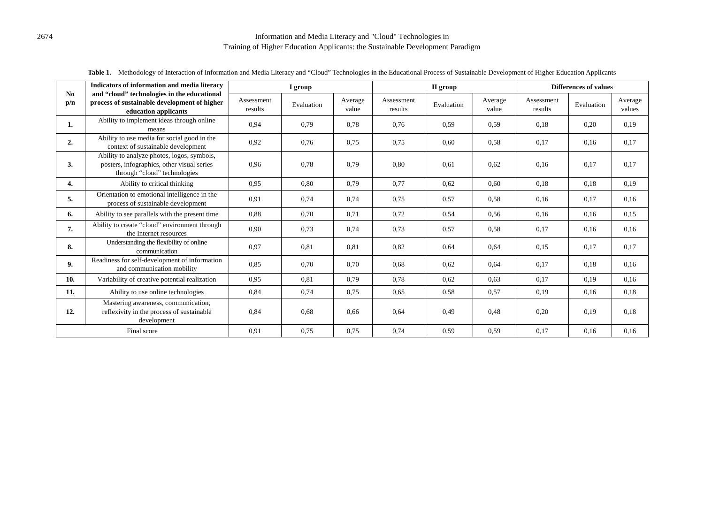### 2674 Information and Media Literacy and "Cloud" Technologies in Training of Higher Education Applicants: the Sustainable Development Paradigm

|                       | Indicators of information and media literacy                                                                             | I group               |            |                  | II group              |            |                  | <b>Differences of values</b> |            |                   |
|-----------------------|--------------------------------------------------------------------------------------------------------------------------|-----------------------|------------|------------------|-----------------------|------------|------------------|------------------------------|------------|-------------------|
| N <sub>0</sub><br>p/n | and "cloud" technologies in the educational<br>process of sustainable development of higher<br>education applicants      | Assessment<br>results | Evaluation | Average<br>value | Assessment<br>results | Evaluation | Average<br>value | Assessment<br>results        | Evaluation | Average<br>values |
| 1.                    | Ability to implement ideas through online<br>means                                                                       | 0.94                  | 0.79       | 0,78             | 0,76                  | 0,59       | 0.59             | 0.18                         | 0,20       | 0,19              |
| 2.                    | Ability to use media for social good in the<br>context of sustainable development                                        | 0,92                  | 0.76       | 0.75             | 0,75                  | 0.60       | 0,58             | 0,17                         | 0.16       | 0,17              |
| 3.                    | Ability to analyze photos, logos, symbols,<br>posters, infographics, other visual series<br>through "cloud" technologies | 0.96                  | 0.78       | 0,79             | 0,80                  | 0,61       | 0,62             | 0,16                         | 0,17       | 0.17              |
| 4.                    | Ability to critical thinking                                                                                             | 0.95                  | 0.80       | 0.79             | 0.77                  | 0.62       | 0.60             | 0.18                         | 0.18       | 0.19              |
| 5.                    | Orientation to emotional intelligence in the<br>process of sustainable development                                       | 0,91                  | 0,74       | 0,74             | 0,75                  | 0,57       | 0.58             | 0,16                         | 0,17       | 0,16              |
| 6.                    | Ability to see parallels with the present time                                                                           | 0.88                  | 0,70       | 0,71             | 0,72                  | 0,54       | 0,56             | 0,16                         | 0,16       | 0,15              |
| 7.                    | Ability to create "cloud" environment through<br>the Internet resources                                                  | 0,90                  | 0,73       | 0,74             | 0,73                  | 0,57       | 0.58             | 0,17                         | 0,16       | 0.16              |
| 8.                    | Understanding the flexibility of online<br>communication                                                                 | 0.97                  | 0.81       | 0.81             | 0,82                  | 0,64       | 0,64             | 0.15                         | 0,17       | 0.17              |
| 9.                    | Readiness for self-development of information<br>and communication mobility                                              | 0.85                  | 0.70       | 0,70             | 0.68                  | 0,62       | 0,64             | 0,17                         | 0,18       | 0,16              |
| 10.                   | Variability of creative potential realization                                                                            | 0.95                  | 0.81       | 0,79             | 0.78                  | 0,62       | 0.63             | 0.17                         | 0,19       | 0.16              |
| 11.                   | Ability to use online technologies                                                                                       | 0.84                  | 0.74       | 0.75             | 0.65                  | 0.58       | 0,57             | 0.19                         | 0.16       | 0.18              |
| 12.                   | Mastering awareness, communication,<br>reflexivity in the process of sustainable<br>development                          | 0.84                  | 0.68       | 0,66             | 0,64                  | 0,49       | 0,48             | 0,20                         | 0,19       | 0.18              |
| Final score           |                                                                                                                          | 0,91                  | 0.75       | 0,75             | 0,74                  | 0,59       | 0,59             | 0,17                         | 0,16       | 0,16              |

Table 1. Methodology of Interaction of Information and Media Literacy and "Cloud" Technologies in the Educational Process of Sustainable Development of Higher Education Applicants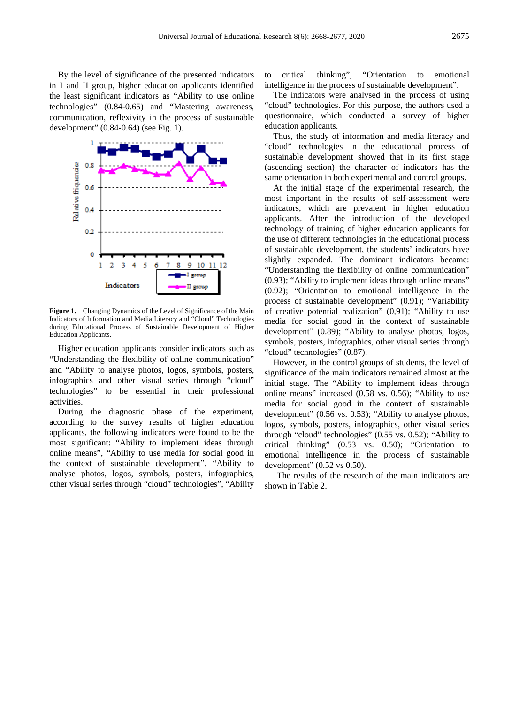By the level of significance of the presented indicators in I and II group, higher education applicants identified the least significant indicators as "Ability to use online technologies" (0.84-0.65) and "Mastering awareness, communication, reflexivity in the process of sustainable development" (0.84-0.64) (see Fig. 1).



Figure 1. Changing Dynamics of the Level of Significance of the Main Indicators of Information and Media Literacy and "Cloud" Technologies during Educational Process of Sustainable Development of Higher Education Applicants.

Higher education applicants consider indicators such as "Understanding the flexibility of online communication" and "Ability to analyse photos, logos, symbols, posters, infographics and other visual series through "cloud" technologies" to be essential in their professional activities.

During the diagnostic phase of the experiment, according to the survey results of higher education applicants, the following indicators were found to be the most significant: "Ability to implement ideas through online means", "Ability to use media for social good in the context of sustainable development", "Ability to analyse photos, logos, symbols, posters, infographics, other visual series through "cloud" technologies", "Ability

to critical thinking", "Orientation to emotional intelligence in the process of sustainable development".

The indicators were analysed in the process of using "cloud" technologies. For this purpose, the authors used a questionnaire, which conducted a survey of higher education applicants.

Thus, the study of information and media literacy and "cloud" technologies in the educational process of sustainable development showed that in its first stage (ascending section) the character of indicators has the same orientation in both experimental and control groups.

At the initial stage of the experimental research, the most important in the results of self-assessment were indicators, which are prevalent in higher education applicants. After the introduction of the developed technology of training of higher education applicants for the use of different technologies in the educational process of sustainable development, the students' indicators have slightly expanded. The dominant indicators became: "Understanding the flexibility of online communication" (0.93); "Ability to implement ideas through online means" (0.92); "Orientation to emotional intelligence in the process of sustainable development" (0.91); "Variability of creative potential realization" (0,91); "Ability to use media for social good in the context of sustainable development" (0.89); "Ability to analyse photos, logos, symbols, posters, infographics, other visual series through "cloud" technologies" (0.87).

However, in the control groups of students, the level of significance of the main indicators remained almost at the initial stage. The "Ability to implement ideas through online means" increased (0.58 vs. 0.56); "Ability to use media for social good in the context of sustainable development" (0.56 vs. 0.53); "Ability to analyse photos, logos, symbols, posters, infographics, other visual series through "cloud" technologies" (0.55 vs. 0.52); "Ability to critical thinking" (0.53 vs. 0.50); "Orientation to emotional intelligence in the process of sustainable development" (0.52 vs 0.50).

The results of the research of the main indicators are shown in Table 2.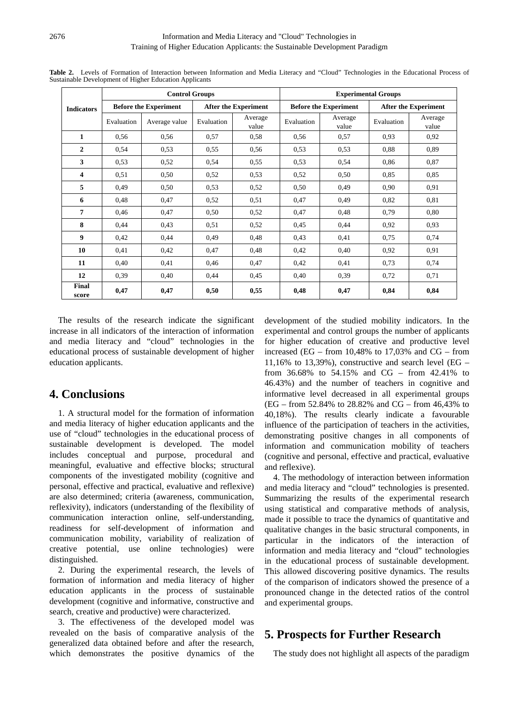|                   |                              | <b>Control Groups</b> |                             |                  | <b>Experimental Groups</b> |                              |                             |                  |  |
|-------------------|------------------------------|-----------------------|-----------------------------|------------------|----------------------------|------------------------------|-----------------------------|------------------|--|
| <b>Indicators</b> | <b>Before the Experiment</b> |                       | <b>After the Experiment</b> |                  |                            | <b>Before the Experiment</b> | <b>After the Experiment</b> |                  |  |
|                   | Evaluation                   | Average value         | Evaluation                  | Average<br>value | Evaluation                 | Average<br>value             | Evaluation                  | Average<br>value |  |
| $\mathbf{1}$      | 0.56                         | 0,56                  | 0,57                        | 0.58             | 0.56                       | 0,57                         | 0,93                        | 0,92             |  |
| $\overline{2}$    | 0.54                         | 0.53                  | 0.55                        | 0.56             | 0.53                       | 0,53                         | 0,88                        | 0,89             |  |
| 3                 | 0.53                         | 0,52                  | 0,54                        | 0.55             | 0.53                       | 0,54                         | 0,86                        | 0,87             |  |
| 4                 | 0.51                         | 0,50                  | 0,52                        | 0.53             | 0.52                       | 0,50                         | 0,85                        | 0,85             |  |
| 5                 | 0,49                         | 0,50                  | 0.53                        | 0.52             | 0.50                       | 0.49                         | 0,90                        | 0.91             |  |
| 6                 | 0,48                         | 0,47                  | 0,52                        | 0,51             | 0,47                       | 0.49                         | 0,82                        | 0.81             |  |
| 7                 | 0,46                         | 0,47                  | 0,50                        | 0.52             | 0,47                       | 0,48                         | 0,79                        | 0,80             |  |
| 8                 | 0,44                         | 0,43                  | 0,51                        | 0.52             | 0.45                       | 0.44                         | 0,92                        | 0,93             |  |
| 9                 | 0,42                         | 0,44                  | 0,49                        | 0,48             | 0.43                       | 0,41                         | 0,75                        | 0,74             |  |
| 10                | 0.41                         | 0,42                  | 0,47                        | 0.48             | 0.42                       | 0,40                         | 0,92                        | 0.91             |  |
| 11                | 0,40                         | 0,41                  | 0,46                        | 0.47             | 0.42                       | 0.41                         | 0,73                        | 0,74             |  |
| 12                | 0.39                         | 0,40                  | 0,44                        | 0.45             | 0.40                       | 0.39                         | 0,72                        | 0,71             |  |
| Final<br>score    | 0,47                         | 0,47                  | 0,50                        | 0,55             | 0,48                       | 0,47                         | 0,84                        | 0,84             |  |

**Table 2.** Levels of Formation of Interaction between Information and Media Literacy and "Cloud" Technologies in the Educational Process of Sustainable Development of Higher Education Applicants

The results of the research indicate the significant increase in all indicators of the interaction of information and media literacy and "cloud" technologies in the educational process of sustainable development of higher education applicants.

# **4. Conclusions**

1. A structural model for the formation of information and media literacy of higher education applicants and the use of "cloud" technologies in the educational process of sustainable development is developed. The model includes conceptual and purpose, procedural and meaningful, evaluative and effective blocks; structural components of the investigated mobility (cognitive and personal, effective and practical, evaluative and reflexive) are also determined; criteria (awareness, communication, reflexivity), indicators (understanding of the flexibility of communication interaction online, self-understanding, readiness for self-development of information and communication mobility, variability of realization of creative potential, use online technologies) were distinguished.

2. During the experimental research, the levels of formation of information and media literacy of higher education applicants in the process of sustainable development (cognitive and informative, constructive and search, creative and productive) were characterized.

3. The effectiveness of the developed model was revealed on the basis of comparative analysis of the generalized data obtained before and after the research, which demonstrates the positive dynamics of the

development of the studied mobility indicators. In the experimental and control groups the number of applicants for higher education of creative and productive level increased (EG – from  $10,48\%$  to  $17,03\%$  and CG – from 11,16% to 13,39%), constructive and search level (EG – from 36.68% to 54.15% and CG – from 42.41% to 46.43%) and the number of teachers in cognitive and informative level decreased in all experimental groups (EG – from 52.84% to 28.82% and CG – from 46,43% to 40,18%). The results clearly indicate a favourable influence of the participation of teachers in the activities, demonstrating positive changes in all components of information and communication mobility of teachers (cognitive and personal, effective and practical, evaluative and reflexive).

4. The methodology of interaction between information and media literacy and "cloud" technologies is presented. Summarizing the results of the experimental research using statistical and comparative methods of analysis, made it possible to trace the dynamics of quantitative and qualitative changes in the basic structural components, in particular in the indicators of the interaction of information and media literacy and "cloud" technologies in the educational process of sustainable development. This allowed discovering positive dynamics. The results of the comparison of indicators showed the presence of a pronounced change in the detected ratios of the control and experimental groups.

# **5. Prospects for Further Research**

The study does not highlight all aspects of the paradigm